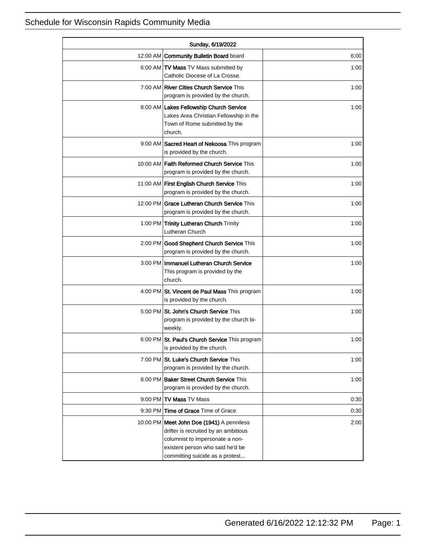| Sunday, 6/19/2022 |                                                                                                                                                                                               |      |
|-------------------|-----------------------------------------------------------------------------------------------------------------------------------------------------------------------------------------------|------|
|                   | 12:00 AM Community Bulletin Board board                                                                                                                                                       | 6:00 |
|                   | 6:00 AM TV Mass TV Mass submitted by<br>Catholic Diocese of La Crosse.                                                                                                                        | 1:00 |
|                   | 7:00 AM   River Cities Church Service This<br>program is provided by the church.                                                                                                              | 1:00 |
|                   | 8:00 AM Lakes Fellowship Church Service<br>Lakes Area Christian Fellowship in the<br>Town of Rome submitted by the<br>church.                                                                 | 1:00 |
|                   | 9:00 AM Sacred Heart of Nekoosa This program<br>is provided by the church.                                                                                                                    | 1:00 |
|                   | 10:00 AM   Faith Reformed Church Service This<br>program is provided by the church.                                                                                                           | 1:00 |
|                   | 11:00 AM First English Church Service This<br>program is provided by the church.                                                                                                              | 1:00 |
|                   | 12:00 PM Grace Lutheran Church Service This<br>program is provided by the church.                                                                                                             | 1:00 |
|                   | 1:00 PM Trinity Lutheran Church Trinity<br>Lutheran Church                                                                                                                                    | 1:00 |
|                   | 2:00 PM Good Shepherd Church Service This<br>program is provided by the church.                                                                                                               | 1:00 |
|                   | 3:00 PM   Immanuel Lutheran Church Service<br>This program is provided by the<br>church.                                                                                                      | 1:00 |
|                   | 4:00 PM St. Vincent de Paul Mass This program<br>is provided by the church.                                                                                                                   | 1:00 |
|                   | 5:00 PM St. John's Church Service This<br>program is provided by the church bi-<br>weekly.                                                                                                    | 1:00 |
|                   | 6:00 PM St. Paul's Church Service This program<br>is provided by the church.                                                                                                                  | 1:00 |
|                   | 7:00 PM St. Luke's Church Service This<br>program is provided by the church.                                                                                                                  | 1:00 |
|                   | 8:00 PM Baker Street Church Service This<br>program is provided by the church.                                                                                                                | 1:00 |
|                   | 9:00 PM TV Mass TV Mass                                                                                                                                                                       | 0:30 |
|                   | 9:30 PM Time of Grace Time of Grace                                                                                                                                                           | 0:30 |
|                   | 10:00 PM   Meet John Doe (1941) A penniless<br>drifter is recruited by an ambitious<br>columnist to impersonate a non-<br>existent person who said he'd be<br>committing suicide as a protest | 2:00 |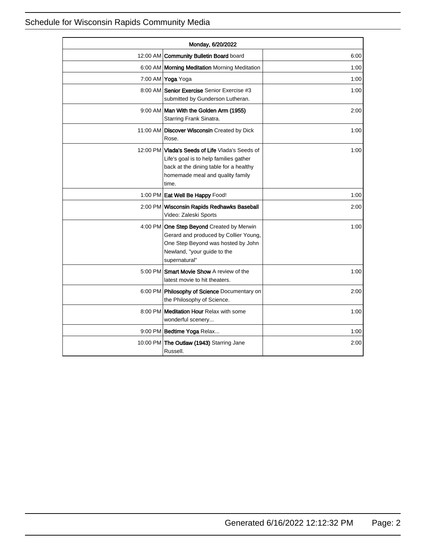| Monday, 6/20/2022 |                                                                                                                                                                                  |      |
|-------------------|----------------------------------------------------------------------------------------------------------------------------------------------------------------------------------|------|
|                   | 12:00 AM Community Bulletin Board board                                                                                                                                          | 6:00 |
|                   | 6:00 AM   Morning Meditation Morning Meditation                                                                                                                                  | 1:00 |
|                   | 7:00 AM Yoga Yoga                                                                                                                                                                | 1:00 |
|                   | 8:00 AM Senior Exercise Senior Exercise #3<br>submitted by Gunderson Lutheran.                                                                                                   | 1:00 |
|                   | 9:00 AM   Man With the Golden Arm (1955)<br>Starring Frank Sinatra.                                                                                                              | 2:00 |
|                   | 11:00 AM Discover Wisconsin Created by Dick<br>Rose.                                                                                                                             | 1:00 |
|                   | 12:00 PM Vlada's Seeds of Life Vlada's Seeds of<br>Life's goal is to help families gather<br>back at the dining table for a healthy<br>homemade meal and quality family<br>time. | 1:00 |
|                   | 1:00 PM Eat Well Be Happy Food!                                                                                                                                                  | 1:00 |
|                   | 2:00 PM Wisconsin Rapids Redhawks Baseball<br>Video: Zaleski Sports                                                                                                              | 2:00 |
|                   | 4:00 PM One Step Beyond Created by Merwin<br>Gerard and produced by Collier Young,<br>One Step Beyond was hosted by John<br>Newland, "your guide to the<br>supernatural"         | 1:00 |
|                   | 5:00 PM Smart Movie Show A review of the<br>latest movie to hit theaters.                                                                                                        | 1:00 |
|                   | 6:00 PM <b>Philosophy of Science</b> Documentary on<br>the Philosophy of Science.                                                                                                | 2:00 |
|                   | 8:00 PM Meditation Hour Relax with some<br>wonderful scenery                                                                                                                     | 1:00 |
|                   | 9:00 PM Bedtime Yoga Relax                                                                                                                                                       | 1:00 |
|                   | 10:00 PM The Outlaw (1943) Starring Jane<br>Russell.                                                                                                                             | 2:00 |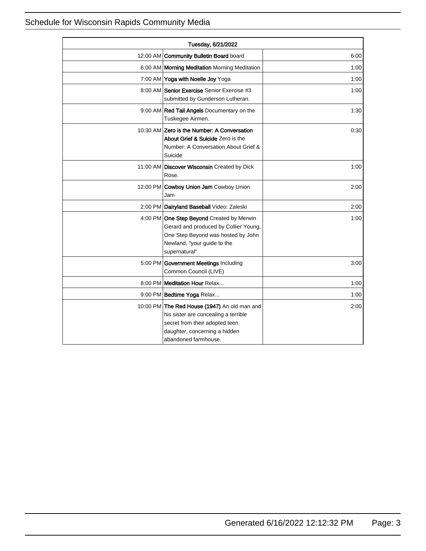| Tuesday, 6/21/2022 |                                                                                                                                                                                 |      |
|--------------------|---------------------------------------------------------------------------------------------------------------------------------------------------------------------------------|------|
|                    | 12:00 AM Community Bulletin Board board                                                                                                                                         | 6:00 |
|                    | 6:00 AM   Morning Meditation Morning Meditation                                                                                                                                 | 1:00 |
|                    | 7:00 AM Yoga with Noelle Joy Yoga                                                                                                                                               | 1:00 |
|                    | 8:00 AM Senior Exercise Senior Exercise #3<br>submitted by Gunderson Lutheran.                                                                                                  | 1:00 |
|                    | 9:00 AM Red Tail Angels Documentary on the<br>Tuskegee Airmen.                                                                                                                  | 1:30 |
|                    | 10:30 AM Zero is the Number: A Conversation<br>About Grief & Suicide Zero is the<br>Number: A Conversation About Grief &<br>Suicide                                             | 0.30 |
|                    | 11:00 AM   Discover Wisconsin Created by Dick<br>Rose.                                                                                                                          | 1:00 |
|                    | 12:00 PM Cowboy Union Jam Cowboy Union<br>Jam                                                                                                                                   | 2:00 |
|                    | 2:00 PM Dairyland Baseball Video: Zaleski                                                                                                                                       | 2:00 |
|                    | 4:00 PM One Step Beyond Created by Merwin<br>Gerard and produced by Collier Young,<br>One Step Beyond was hosted by John<br>Newland, "your guide to the<br>supernatural"        | 1:00 |
|                    | 5:00 PM Government Meetings Including<br>Common Council (LIVE)                                                                                                                  | 3:00 |
|                    | 8:00 PM Meditation Hour Relax                                                                                                                                                   | 1:00 |
|                    | 9:00 PM Bedtime Yoga Relax                                                                                                                                                      | 1:00 |
|                    | 10:00 PM The Red House (1947) An old man and<br>his sister are concealing a terrible<br>secret from their adopted teen<br>daughter, concerning a hidden<br>abandoned farmhouse. | 2:00 |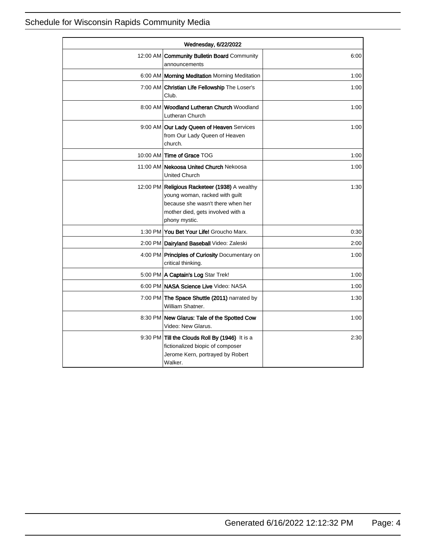| Wednesday, 6/22/2022 |                                                                                                                                                                            |      |
|----------------------|----------------------------------------------------------------------------------------------------------------------------------------------------------------------------|------|
|                      | 12:00 AM Community Bulletin Board Community<br>announcements                                                                                                               | 6:00 |
|                      | 6:00 AM   Morning Meditation Morning Meditation                                                                                                                            | 1:00 |
|                      | 7:00 AM Christian Life Fellowship The Loser's<br>Club.                                                                                                                     | 1:00 |
|                      | 8:00 AM Woodland Lutheran Church Woodland<br>Lutheran Church                                                                                                               | 1:00 |
|                      | 9:00 AM Our Lady Queen of Heaven Services<br>from Our Lady Queen of Heaven<br>church.                                                                                      | 1:00 |
|                      | 10:00 AM Time of Grace TOG                                                                                                                                                 | 1:00 |
|                      | 11:00 AM Nekoosa United Church Nekoosa<br><b>United Church</b>                                                                                                             | 1:00 |
|                      | 12:00 PM Religious Racketeer (1938) A wealthy<br>young woman, racked with guilt<br>because she wasn't there when her<br>mother died, gets involved with a<br>phony mystic. | 1:30 |
|                      | 1:30 PM You Bet Your Life! Groucho Marx.                                                                                                                                   | 0:30 |
|                      | 2:00 PM Dairyland Baseball Video: Zaleski                                                                                                                                  | 2:00 |
|                      | 4:00 PM Principles of Curiosity Documentary on<br>critical thinking.                                                                                                       | 1:00 |
|                      | 5:00 PM   A Captain's Log Star Trek!                                                                                                                                       | 1:00 |
|                      | 6:00 PM NASA Science Live Video: NASA                                                                                                                                      | 1:00 |
|                      | 7:00 PM The Space Shuttle (2011) narrated by<br>William Shatner.                                                                                                           | 1:30 |
|                      | 8:30 PM New Glarus: Tale of the Spotted Cow<br>Video: New Glarus.                                                                                                          | 1:00 |
|                      | 9:30 PM Till the Clouds Roll By (1946) It is a<br>fictionalized biopic of composer<br>Jerome Kern, portrayed by Robert<br>Walker.                                          | 2:30 |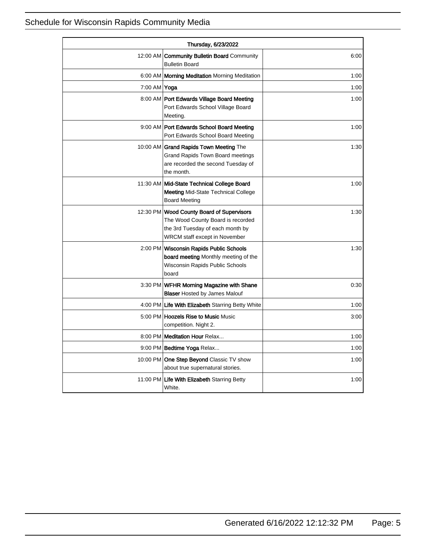| Thursday, 6/23/2022 |                                                                                                                                                     |      |
|---------------------|-----------------------------------------------------------------------------------------------------------------------------------------------------|------|
|                     | 12:00 AM <b>Community Bulletin Board</b> Community<br><b>Bulletin Board</b>                                                                         | 6:00 |
|                     | 6:00 AM   Morning Meditation Morning Meditation                                                                                                     | 1:00 |
| 7:00 AM Yoga        |                                                                                                                                                     | 1:00 |
|                     | 8:00 AM   Port Edwards Village Board Meeting<br>Port Edwards School Village Board<br>Meeting.                                                       | 1:00 |
|                     | 9:00 AM Port Edwards School Board Meeting<br>Port Edwards School Board Meeting                                                                      | 1:00 |
|                     | 10:00 AM Grand Rapids Town Meeting The<br><b>Grand Rapids Town Board meetings</b><br>are recorded the second Tuesday of<br>the month.               | 1:30 |
|                     | 11:30 AM   Mid-State Technical College Board<br><b>Meeting Mid-State Technical College</b><br><b>Board Meeting</b>                                  | 1:00 |
|                     | 12:30 PM Wood County Board of Supervisors<br>The Wood County Board is recorded<br>the 3rd Tuesday of each month by<br>WRCM staff except in November | 1:30 |
|                     | 2:00 PM Wisconsin Rapids Public Schools<br><b>board meeting</b> Monthly meeting of the<br>Wisconsin Rapids Public Schools<br>board                  | 1:30 |
|                     | 3:30 PM WFHR Morning Magazine with Shane<br><b>Blaser</b> Hosted by James Malouf                                                                    | 0:30 |
|                     | 4:00 PM Life With Elizabeth Starring Betty White                                                                                                    | 1:00 |
|                     | 5:00 PM   Hoozels Rise to Music Music<br>competition. Night 2.                                                                                      | 3:00 |
|                     | 8:00 PM Meditation Hour Relax                                                                                                                       | 1:00 |
|                     | 9:00 PM Bedtime Yoga Relax                                                                                                                          | 1:00 |
|                     | 10:00 PM One Step Beyond Classic TV show<br>about true supernatural stories.                                                                        | 1:00 |
|                     | 11:00 PM Life With Elizabeth Starring Betty<br>White.                                                                                               | 1:00 |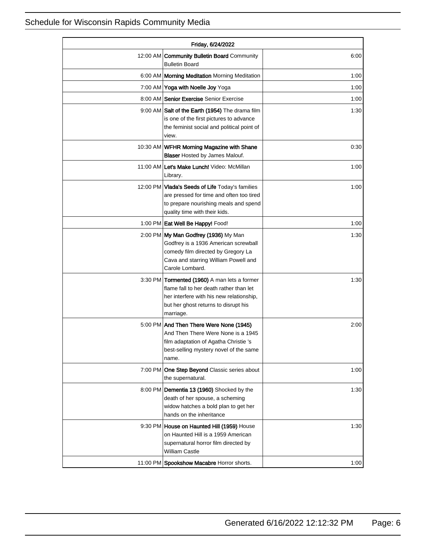| Friday, 6/24/2022 |                                                                                                                                                                                          |      |
|-------------------|------------------------------------------------------------------------------------------------------------------------------------------------------------------------------------------|------|
| 12:00 AM          | <b>Community Bulletin Board Community</b><br><b>Bulletin Board</b>                                                                                                                       | 6:00 |
|                   | 6:00 AM   Morning Meditation Morning Meditation                                                                                                                                          | 1:00 |
|                   | 7:00 AM Yoga with Noelle Joy Yoga                                                                                                                                                        | 1:00 |
|                   | 8:00 AM Senior Exercise Senior Exercise                                                                                                                                                  | 1:00 |
|                   | 9:00 AM Salt of the Earth (1954) The drama film<br>is one of the first pictures to advance<br>the feminist social and political point of<br>view.                                        | 1:30 |
|                   | 10:30 AM WFHR Morning Magazine with Shane<br><b>Blaser</b> Hosted by James Malouf.                                                                                                       | 0:30 |
|                   | 11:00 AM Let's Make Lunch! Video: McMillan<br>Library.                                                                                                                                   | 1:00 |
|                   | 12:00 PM Vlada's Seeds of Life Today's families<br>are pressed for time and often too tired<br>to prepare nourishing meals and spend<br>quality time with their kids.                    | 1:00 |
|                   | 1:00 PM Eat Well Be Happy! Food!                                                                                                                                                         | 1:00 |
|                   | 2:00 PM My Man Godfrey (1936) My Man<br>Godfrey is a 1936 American screwball<br>comedy film directed by Gregory La<br>Cava and starring William Powell and<br>Carole Lombard.            | 1:30 |
|                   | 3:30 PM Tormented (1960) A man lets a former<br>flame fall to her death rather than let<br>her interfere with his new relationship,<br>but her ghost returns to disrupt his<br>marriage. | 1:30 |
|                   | 5:00 PM And Then There Were None (1945)<br>And Then There Were None is a 1945<br>film adaptation of Agatha Christie 's<br>best-selling mystery novel of the same<br>name.                | 2:00 |
|                   | 7:00 PM One Step Beyond Classic series about<br>the supernatural.                                                                                                                        | 1:00 |
|                   | 8:00 PM Dementia 13 (1960) Shocked by the<br>death of her spouse, a scheming<br>widow hatches a bold plan to get her<br>hands on the inheritance                                         | 1:30 |
|                   | 9:30 PM House on Haunted Hill (1959) House<br>on Haunted Hill is a 1959 American<br>supernatural horror film directed by<br><b>William Castle</b>                                        | 1:30 |
|                   | 11:00 PM Spookshow Macabre Horror shorts.                                                                                                                                                | 1:00 |